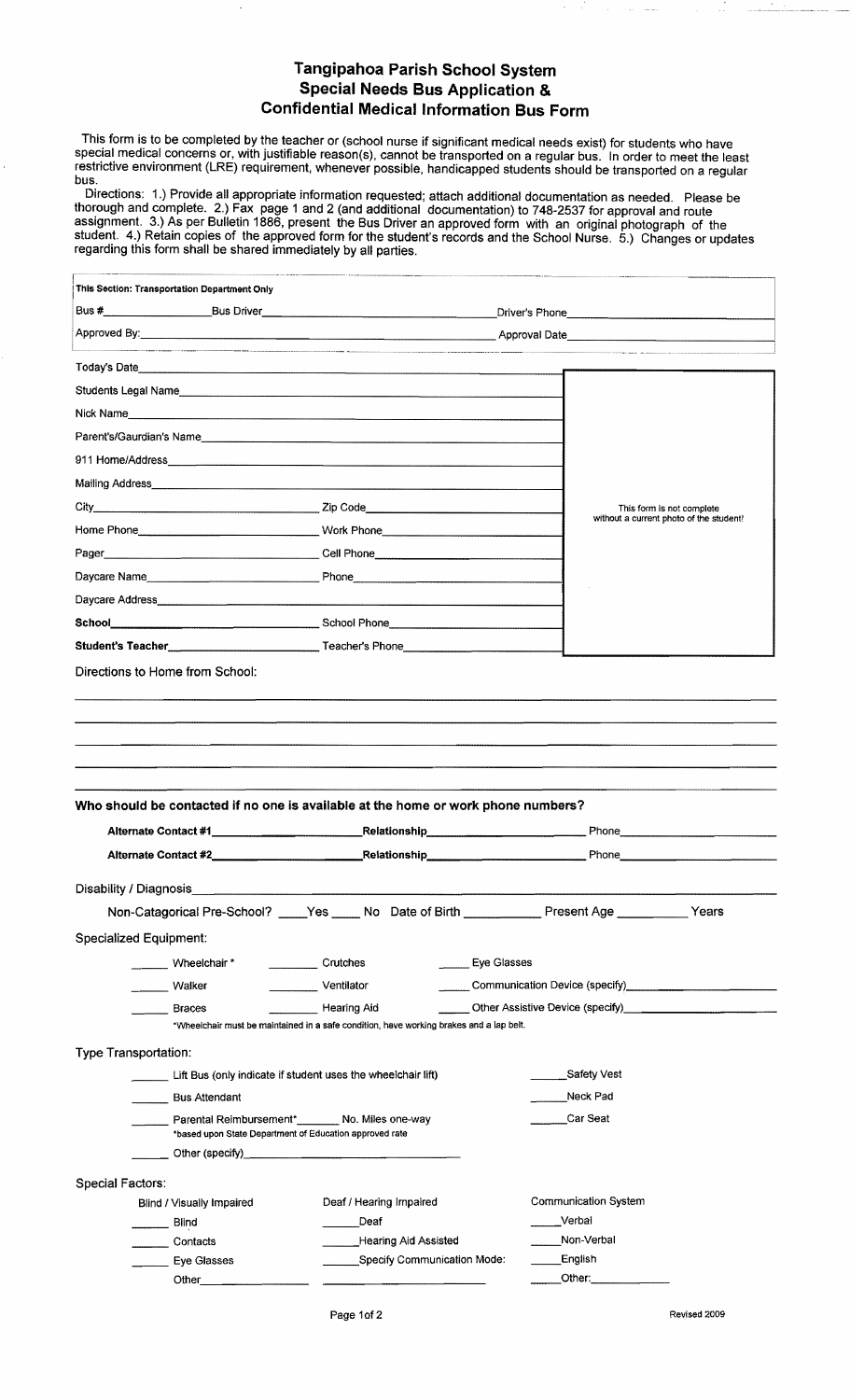## Tangipahoa Parish School System **Special Needs Bus Application & Confidential Medical Information Bus Form**

 $\bar{z}$ 

This form is to be completed by the teacher or (school nurse if significant medical needs exist) for students who have special medical concerns or, with justifiable reason(s), cannot be transported on a regular bus. In order to meet the least<br>restrictive environment (LRE) requirement, whenever possible, handicapped students should be trans bus.

Directions: 1.) Provide all appropriate information requested; attach additional documentation as needed. Please be<br>thorough and complete. 2.) Fax page 1 and 2 (and additional documentation) to 748-2537 for approval and ro

| This Section: Transportation Department Only                                                                  |                                                                                                        |             |                                                                                             |                           |  |  |
|---------------------------------------------------------------------------------------------------------------|--------------------------------------------------------------------------------------------------------|-------------|---------------------------------------------------------------------------------------------|---------------------------|--|--|
|                                                                                                               |                                                                                                        |             |                                                                                             |                           |  |  |
|                                                                                                               |                                                                                                        |             |                                                                                             |                           |  |  |
|                                                                                                               |                                                                                                        |             |                                                                                             |                           |  |  |
| Students Legal Name                                                                                           |                                                                                                        |             |                                                                                             |                           |  |  |
|                                                                                                               |                                                                                                        |             |                                                                                             |                           |  |  |
|                                                                                                               |                                                                                                        |             |                                                                                             |                           |  |  |
|                                                                                                               |                                                                                                        |             |                                                                                             |                           |  |  |
|                                                                                                               |                                                                                                        |             |                                                                                             |                           |  |  |
|                                                                                                               |                                                                                                        |             |                                                                                             | This form is not complete |  |  |
| Home Phone___________________________________Work Phone_________________________                              |                                                                                                        |             | without a current photo of the student!                                                     |                           |  |  |
|                                                                                                               |                                                                                                        |             |                                                                                             |                           |  |  |
|                                                                                                               |                                                                                                        |             |                                                                                             |                           |  |  |
|                                                                                                               |                                                                                                        |             |                                                                                             |                           |  |  |
|                                                                                                               |                                                                                                        |             |                                                                                             |                           |  |  |
| Student's Teacher Manual Manual Manual Teacher's Phone                                                        |                                                                                                        |             |                                                                                             |                           |  |  |
| Directions to Home from School:                                                                               |                                                                                                        |             |                                                                                             |                           |  |  |
| Who should be contacted if no one is available at the home or work phone numbers?                             | _Relationship________________________________                                                          |             |                                                                                             |                           |  |  |
|                                                                                                               |                                                                                                        |             |                                                                                             |                           |  |  |
| Disability / Diagnosis                                                                                        |                                                                                                        |             |                                                                                             |                           |  |  |
|                                                                                                               | Non-Catagorical Pre-School? ____Yes _____ No Date of Birth _____________ Present Age ___________ Years |             |                                                                                             |                           |  |  |
| <b>Specialized Equipment:</b>                                                                                 |                                                                                                        |             |                                                                                             |                           |  |  |
| Wheelchair*                                                                                                   | Crutches                                                                                               | Eye Glasses |                                                                                             |                           |  |  |
| Walker                                                                                                        | Ventilator                                                                                             |             |                                                                                             |                           |  |  |
| <b>Braces</b>                                                                                                 | Hearing Aid                                                                                            |             | Other Assistive Device (specify)<br><u>[</u> [11] Context of the Assistive Device (specify) |                           |  |  |
|                                                                                                               | *Wheelchair must be maintained in a safe condition, have working brakes and a lap belt.                |             |                                                                                             |                           |  |  |
| <b>Type Transportation:</b>                                                                                   |                                                                                                        |             |                                                                                             |                           |  |  |
| Lift Bus (only indicate if student uses the wheelchair lift)                                                  |                                                                                                        | Safety Vest |                                                                                             |                           |  |  |
| <b>Bus Attendant</b>                                                                                          |                                                                                                        |             | Neck Pad                                                                                    |                           |  |  |
| Parental Reimbursement* ________ No. Miles one-way<br>*based upon State Department of Education approved rate |                                                                                                        |             | Car Seat                                                                                    |                           |  |  |
|                                                                                                               |                                                                                                        |             |                                                                                             |                           |  |  |
|                                                                                                               |                                                                                                        |             |                                                                                             |                           |  |  |
| <b>Special Factors:</b><br>Blind / Visually Impaired                                                          | Deaf / Hearing Impaired                                                                                |             | <b>Communication System</b>                                                                 |                           |  |  |
| Blind                                                                                                         | Deaf                                                                                                   |             | Verbal                                                                                      |                           |  |  |
| Contacts                                                                                                      | Hearing Aid Assisted                                                                                   |             | Non-Verbal                                                                                  |                           |  |  |
| Eye Glasses<br>$\mathcal{L}$                                                                                  | __________Specify Communication Mode:                                                                  |             | _English                                                                                    |                           |  |  |
|                                                                                                               |                                                                                                        |             |                                                                                             |                           |  |  |